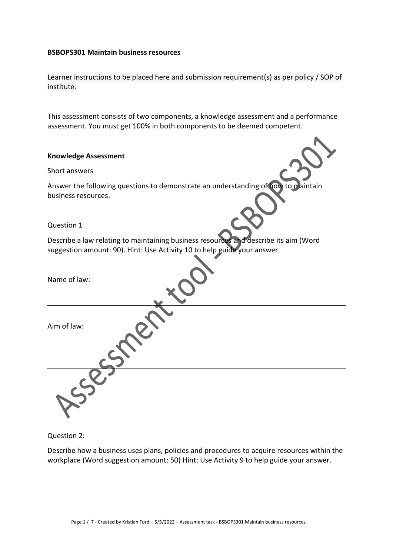#### **BSBOPS301 Maintain business resources**

Learner instructions to be placed here and submission requirement(s) as per policy / SOP of institute.

This assessment consists of two components, a knowledge assessment and a performance assessment. You must get 100% in both components to be deemed competent.

## **Knowledge Assessment**

### Short answers

Answer the following questions to demonstrate an understanding of how to maintain business resources.

Question 1

Describe a law relating to maintaining business resources and describe its aim (Word suggestion amount: 90). Hint: Use Activity 10 to help guide your answer.

| Name of law: |  |
|--------------|--|
| Aim of law:  |  |
|              |  |
|              |  |
|              |  |

## Question 2:

Describe how a business uses plans, policies and procedures to acquire resources within the workplace (Word suggestion amount: 50) Hint: Use Activity 9 to help guide your answer.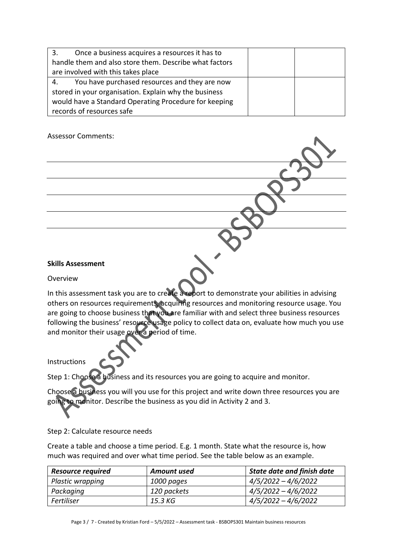| Once a business acquires a resources it has to<br>3.   |  |
|--------------------------------------------------------|--|
| handle them and also store them. Describe what factors |  |
| are involved with this takes place                     |  |
| You have purchased resources and they are now<br>4.    |  |
| stored in your organisation. Explain why the business  |  |
| would have a Standard Operating Procedure for keeping  |  |
| records of resources safe                              |  |

Assessor Comments:

# **Skills Assessment**

Overview

In this assessment task you are to create a report to demonstrate your abilities in advising others on resources requirements, acquiring resources and monitoring resource usage. You are going to choose business that you are familiar with and select three business resources following the business' resource usage policy to collect data on, evaluate how much you use and monitor their usage over a period of time.

Instructions

Step 1: Choose a business and its resources you are going to acquire and monitor.

Choose a business you will you use for this project and write down three resources you are going to monitor. Describe the business as you did in Activity 2 and 3.

Step 2: Calculate resource needs

Create a table and choose a time period. E.g. 1 month. State what the resource is, how much was required and over what time period. See the table below as an example.

| <b>Resource required</b> | <b>Amount used</b> | <b>State date and finish date</b> |
|--------------------------|--------------------|-----------------------------------|
| Plastic wrapping         | 1000 pages         | $4/5/2022 - 4/6/2022$             |
| Packaging                | 120 packets        | $4/5/2022 - 4/6/2022$             |
| Fertiliser               | 15.3 KG            | $4/5/2022 - 4/6/2022$             |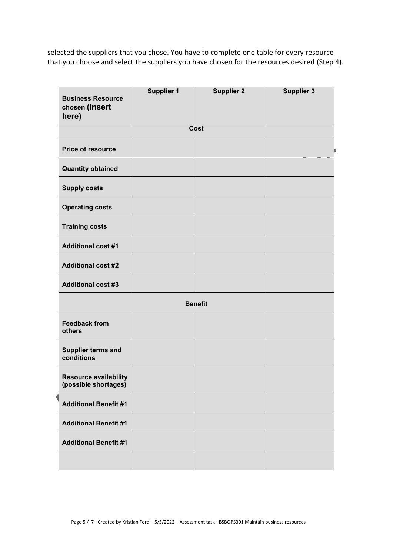selected the suppliers that you chose. You have to complete one table for every resource that you choose and select the suppliers you have chosen for the resources desired (Step 4).

| <b>Business Resource</b><br>chosen (Insert<br>here)  | <b>Supplier 1</b> | <b>Supplier 2</b> | <b>Supplier 3</b> |
|------------------------------------------------------|-------------------|-------------------|-------------------|
|                                                      |                   | <b>Cost</b>       |                   |
| Price of resource                                    |                   |                   |                   |
| <b>Quantity obtained</b>                             |                   |                   |                   |
| <b>Supply costs</b>                                  |                   |                   |                   |
| <b>Operating costs</b>                               |                   |                   |                   |
| <b>Training costs</b>                                |                   |                   |                   |
| <b>Additional cost #1</b>                            |                   |                   |                   |
| <b>Additional cost #2</b>                            |                   |                   |                   |
| <b>Additional cost #3</b>                            |                   |                   |                   |
|                                                      |                   | <b>Benefit</b>    |                   |
| <b>Feedback from</b><br>others                       |                   |                   |                   |
| <b>Supplier terms and</b><br>conditions              |                   |                   |                   |
| <b>Resource availability</b><br>(possible shortages) |                   |                   |                   |
| <b>Additional Benefit #1</b>                         |                   |                   |                   |
| <b>Additional Benefit #1</b>                         |                   |                   |                   |
| <b>Additional Benefit #1</b>                         |                   |                   |                   |
|                                                      |                   |                   |                   |